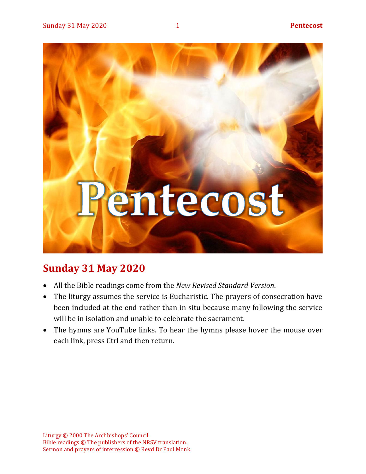

# **Sunday 31 May 2020**

- All the Bible readings come from the *New Revised Standard Version*.
- The liturgy assumes the service is Eucharistic. The prayers of consecration have been included at the end rather than in situ because many following the service will be in isolation and unable to celebrate the sacrament.
- The hymns are YouTube links. To hear the hymns please hover the mouse over each link, press Ctrl and then return.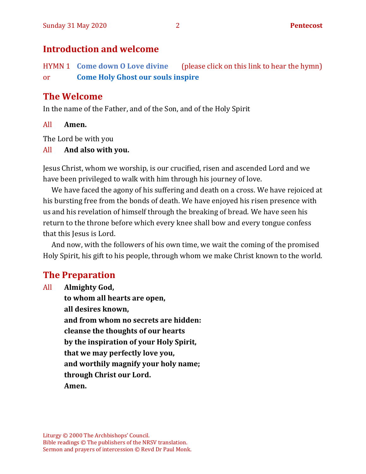# **Introduction and welcome**

HYMN 1 **[Come down O Love divine](https://youtu.be/FbPclyCaY0w)** (please click on this link to hear the hymn) or **[Come Holy Ghost our souls inspire](https://www.youtube.com/watch?v=kmRbc9cf-dw)**

# **The Welcome**

In the name of the Father, and of the Son, and of the Holy Spirit

#### All **Amen.**

The Lord be with you

#### All **And also with you.**

Jesus Christ, whom we worship, is our crucified, risen and ascended Lord and we have been privileged to walk with him through his journey of love.

We have faced the agony of his suffering and death on a cross. We have rejoiced at his bursting free from the bonds of death. We have enjoyed his risen presence with us and his revelation of himself through the breaking of bread. We have seen his return to the throne before which every knee shall bow and every tongue confess that this Jesus is Lord.

And now, with the followers of his own time, we wait the coming of the promised Holy Spirit, his gift to his people, through whom we make Christ known to the world.

# **The Preparation**

All **Almighty God, to whom all hearts are open, all desires known, and from whom no secrets are hidden: cleanse the thoughts of our hearts by the inspiration of your Holy Spirit, that we may perfectly love you, and worthily magnify your holy name; through Christ our Lord. Amen.**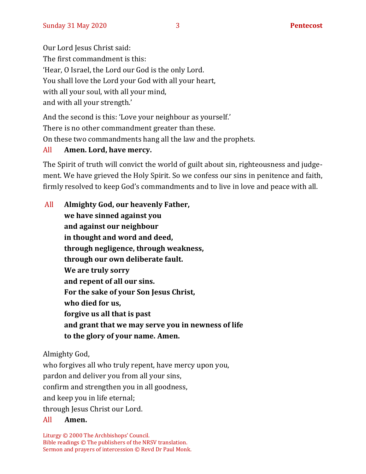Our Lord Jesus Christ said:

The first commandment is this:

'Hear, O Israel, the Lord our God is the only Lord.

You shall love the Lord your God with all your heart,

with all your soul, with all your mind,

and with all your strength.'

And the second is this: 'Love your neighbour as yourself.'

There is no other commandment greater than these.

On these two commandments hang all the law and the prophets.

### All **Amen. Lord, have mercy.**

The Spirit of truth will convict the world of guilt about sin, righteousness and judgement. We have grieved the Holy Spirit. So we confess our sins in penitence and faith, firmly resolved to keep God's commandments and to live in love and peace with all.

| All | Almighty God, our heavenly Father,                 |
|-----|----------------------------------------------------|
|     | we have sinned against you                         |
|     | and against our neighbour                          |
|     | in thought and word and deed,                      |
|     | through negligence, through weakness,              |
|     | through our own deliberate fault.                  |
|     | We are truly sorry                                 |
|     | and repent of all our sins.                        |
|     | For the sake of your Son Jesus Christ,             |
|     | who died for us,                                   |
|     | forgive us all that is past                        |
|     | and grant that we may serve you in newness of life |
|     | to the glory of your name. Amen.                   |
|     |                                                    |

Almighty God,

who forgives all who truly repent, have mercy upon you, pardon and deliver you from all your sins, confirm and strengthen you in all goodness, and keep you in life eternal; through Jesus Christ our Lord.

#### All **Amen.**

Liturgy © 2000 The Archbishops' Council. Bible readings © The publishers of the NRSV translation. Sermon and prayers of intercession © Revd Dr Paul Monk.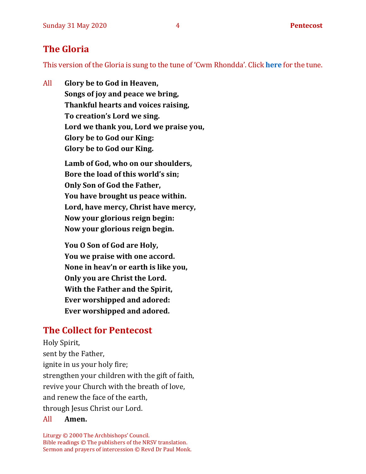# **The Gloria**

This version of the Gloria is sung to the tune of 'Cwm Rhondda'. Click **[here](about:blank)** for the tune.

All **Glory be to God in Heaven, Songs of joy and peace we bring, Thankful hearts and voices raising, To creation's Lord we sing. Lord we thank you, Lord we praise you, Glory be to God our King: Glory be to God our King.**

> **Lamb of God, who on our shoulders, Bore the load of this world's sin; Only Son of God the Father, You have brought us peace within. Lord, have mercy, Christ have mercy, Now your glorious reign begin: Now your glorious reign begin.**

**You O Son of God are Holy, You we praise with one accord. None in heav'n or earth is like you, Only you are Christ the Lord. With the Father and the Spirit, Ever worshipped and adored: Ever worshipped and adored.**

# **The Collect for Pentecost**

Holy Spirit, sent by the Father, ignite in us your holy fire; strengthen your children with the gift of faith, revive your Church with the breath of love, and renew the face of the earth, through Jesus Christ our Lord.

#### All **Amen.**

Liturgy © 2000 The Archbishops' Council. Bible readings © The publishers of the NRSV translation. Sermon and prayers of intercession © Revd Dr Paul Monk.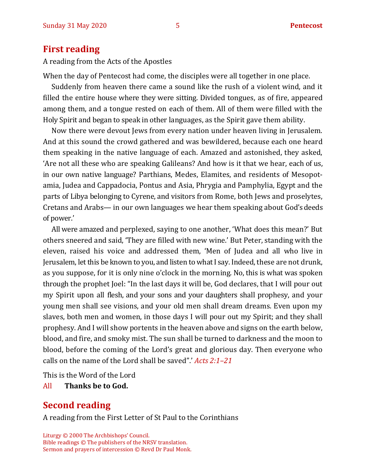### **First reading**

A reading from the Acts of the Apostles

When the day of Pentecost had come, the disciples were all together in one place.

Suddenly from heaven there came a sound like the rush of a violent wind, and it filled the entire house where they were sitting. Divided tongues, as of fire, appeared among them, and a tongue rested on each of them. All of them were filled with the Holy Spirit and began to speak in other languages, as the Spirit gave them ability.

Now there were devout Jews from every nation under heaven living in Jerusalem. And at this sound the crowd gathered and was bewildered, because each one heard them speaking in the native language of each. Amazed and astonished, they asked, 'Are not all these who are speaking Galileans? And how is it that we hear, each of us, in our own native language? Parthians, Medes, Elamites, and residents of Mesopotamia, Judea and Cappadocia, Pontus and Asia, Phrygia and Pamphylia, Egypt and the parts of Libya belonging to Cyrene, and visitors from Rome, both Jews and proselytes, Cretans and Arabs— in our own languages we hear them speaking about God's deeds of power.'

All were amazed and perplexed, saying to one another, 'What does this mean?' But others sneered and said, 'They are filled with new wine.' But Peter, standing with the eleven, raised his voice and addressed them, 'Men of Judea and all who live in Jerusalem, let this be known to you, and listen to what I say. Indeed, these are not drunk, as you suppose, for it is only nine o'clock in the morning. No, this is what was spoken through the prophet Joel: "In the last days it will be, God declares, that I will pour out my Spirit upon all flesh, and your sons and your daughters shall prophesy, and your young men shall see visions, and your old men shall dream dreams. Even upon my slaves, both men and women, in those days I will pour out my Spirit; and they shall prophesy. And I will show portents in the heaven above and signs on the earth below, blood, and fire, and smoky mist. The sun shall be turned to darkness and the moon to blood, before the coming of the Lord's great and glorious day. Then everyone who calls on the name of the Lord shall be saved".' *Acts 2:1–21*

This is the Word of the Lord

All **Thanks be to God.**

# **Second reading**

A reading from the First Letter of St Paul to the Corinthians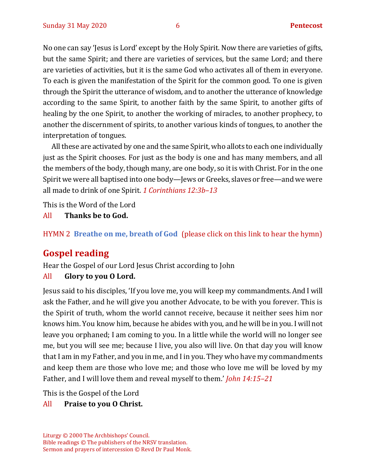No one can say 'Jesus is Lord' except by the Holy Spirit. Now there are varieties of gifts, but the same Spirit; and there are varieties of services, but the same Lord; and there are varieties of activities, but it is the same God who activates all of them in everyone. To each is given the manifestation of the Spirit for the common good. To one is given through the Spirit the utterance of wisdom, and to another the utterance of knowledge according to the same Spirit, to another faith by the same Spirit, to another gifts of healing by the one Spirit, to another the working of miracles, to another prophecy, to another the discernment of spirits, to another various kinds of tongues, to another the interpretation of tongues.

All these are activated by one and the same Spirit, who allots to each one individually just as the Spirit chooses. For just as the body is one and has many members, and all the members of the body, though many, are one body, so it is with Christ. For in the one Spirit we were all baptised into one body—Jews or Greeks, slaves or free—and we were all made to drink of one Spirit. *1 Corinthians 12:3b–13*

This is the Word of the Lord

All **Thanks be to God.**

#### HYMN 2 **[Breathe on me, breath of God](https://youtu.be/M5keJHZdWYM)** (please click on this link to hear the hymn)

# **Gospel reading**

Hear the Gospel of our Lord Jesus Christ according to John

#### All **Glory to you O Lord.**

Jesus said to his disciples, 'If you love me, you will keep my commandments. And I will ask the Father, and he will give you another Advocate, to be with you forever. This is the Spirit of truth, whom the world cannot receive, because it neither sees him nor knows him. You know him, because he abides with you, and he will be in you. I will not leave you orphaned; I am coming to you. In a little while the world will no longer see me, but you will see me; because I live, you also will live. On that day you will know that I am in my Father, and you in me, and I in you. They who have my commandments and keep them are those who love me; and those who love me will be loved by my Father, and I will love them and reveal myself to them.' *John 14:15–21*

This is the Gospel of the Lord

#### All **Praise to you O Christ.**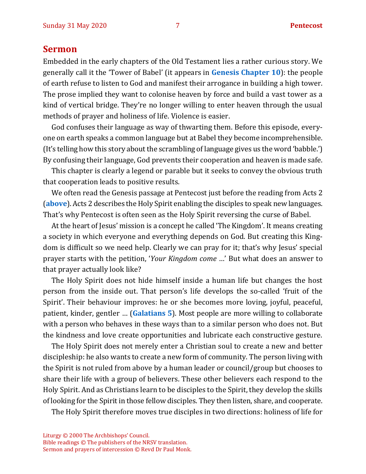#### **Sermon**

Embedded in the early chapters of the Old Testament lies a rather curious story. We generally call it the 'Tower of Babel' (it appears in **[Genesis Chapter 10](https://www.biblegateway.com/passage/?search=genesis+10&version=NIV)**): the people of earth refuse to listen to God and manifest their arrogance in building a high tower. The prose implied they want to colonise heaven by force and build a vast tower as a kind of vertical bridge. They're no longer willing to enter heaven through the usual methods of prayer and holiness of life. Violence is easier.

God confuses their language as way of thwarting them. Before this episode, everyone on earth speaks a common language but at Babel they become incomprehensible. (It's telling how this story about the scrambling of language gives us the word 'babble.') By confusing their language, God prevents their cooperation and heaven is made safe.

This chapter is clearly a legend or parable but it seeks to convey the obvious truth that cooperation leads to positive results.

We often read the Genesis passage at Pentecost just before the reading from Acts 2 (**[above](#page-9-0)**). Acts 2 describes the Holy Spirit enabling the disciples to speak new languages. That's why Pentecost is often seen as the Holy Spirit reversing the curse of Babel.

At the heart of Jesus' mission is a concept he called 'The Kingdom'. It means creating a society in which everyone and everything depends on God. But creating this Kingdom is difficult so we need help. Clearly we can pray for it; that's why Jesus' special prayer starts with the petition, '*Your Kingdom come* …' But what does an answer to that prayer actually look like?

The Holy Spirit does not hide himself inside a human life but changes the host person from the inside out. That person's life develops the so-called 'fruit of the Spirit'. Their behaviour improves: he or she becomes more loving, joyful, peaceful, patient, kinder, gentler … (**[Galatians 5](https://www.biblegateway.com/passage/?search=Galatians+5.22-25&version=NIV)**). Most people are more willing to collaborate with a person who behaves in these ways than to a similar person who does not. But the kindness and love create opportunities and lubricate each constructive gesture.

The Holy Spirit does not merely enter a Christian soul to create a new and better discipleship: he also wants to create a new form of community. The person living with the Spirit is not ruled from above by a human leader or council/group but chooses to share their life with a group of believers. These other believers each respond to the Holy Spirit. And as Christians learn to be disciples to the Spirit, they develop the skills of looking for the Spirit in those fellow disciples. They then listen, share, and cooperate.

The Holy Spirit therefore moves true disciples in two directions: holiness of life for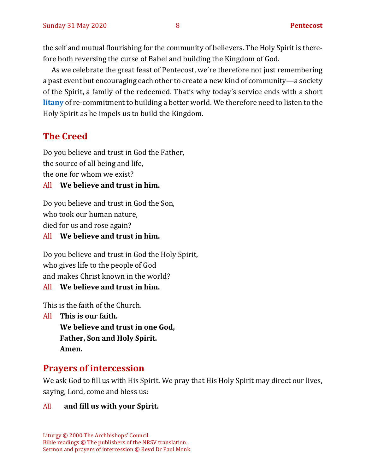the self and mutual flourishing for the community of believers. The Holy Spirit is therefore both reversing the curse of Babel and building the Kingdom of God.

As we celebrate the great feast of Pentecost, we're therefore not just remembering a past event but encouraging each other to create a new kind of community—a society of the Spirit, a family of the redeemed. That's why today's service ends with a short **[litany](#page-10-0)** of re-commitment to building a better world. We therefore need to listen to the Holy Spirit as he impels us to build the Kingdom.

# **The Creed**

Do you believe and trust in God the Father, the source of all being and life, the one for whom we exist?

#### All **We believe and trust in him.**

Do you believe and trust in God the Son, who took our human nature, died for us and rose again?

All **We believe and trust in him.**

Do you believe and trust in God the Holy Spirit, who gives life to the people of God and makes Christ known in the world?

All **We believe and trust in him.**

This is the faith of the Church.

All **This is our faith.**

**We believe and trust in one God, Father, Son and Holy Spirit. Amen.**

## **Prayers of intercession**

We ask God to fill us with His Spirit. We pray that His Holy Spirit may direct our lives, saying, Lord, come and bless us:

#### All **and fill us with your Spirit.**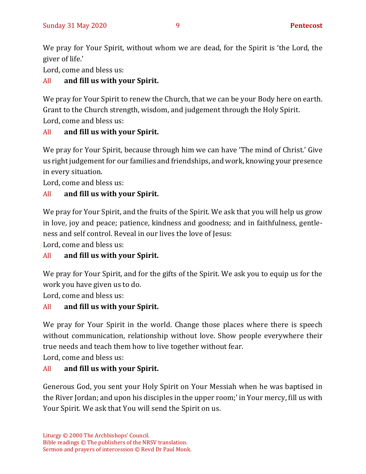We pray for Your Spirit, without whom we are dead, for the Spirit is 'the Lord, the giver of life.'

Lord, come and bless us:

#### All **and fill us with your Spirit.**

We pray for Your Spirit to renew the Church, that we can be your Body here on earth. Grant to the Church strength, wisdom, and judgement through the Holy Spirit. Lord, come and bless us:

#### All **and fill us with your Spirit.**

We pray for Your Spirit, because through him we can have 'The mind of Christ.' Give us right judgement for our families and friendships, and work, knowing your presence in every situation.

Lord, come and bless us:

### All **and fill us with your Spirit.**

We pray for Your Spirit, and the fruits of the Spirit. We ask that you will help us grow in love, joy and peace; patience, kindness and goodness; and in faithfulness, gentleness and self control. Reveal in our lives the love of Jesus:

Lord, come and bless us:

### All **and fill us with your Spirit.**

We pray for Your Spirit, and for the gifts of the Spirit. We ask you to equip us for the work you have given us to do.

Lord, come and bless us:

#### All **and fill us with your Spirit.**

We pray for Your Spirit in the world. Change those places where there is speech without communication, relationship without love. Show people everywhere their true needs and teach them how to live together without fear.

Lord, come and bless us:

#### All **and fill us with your Spirit.**

Generous God, you sent your Holy Spirit on Your Messiah when he was baptised in the River Jordan; and upon his disciples in the upper room;' in Your mercy, fill us with Your Spirit. We ask that You will send the Spirit on us.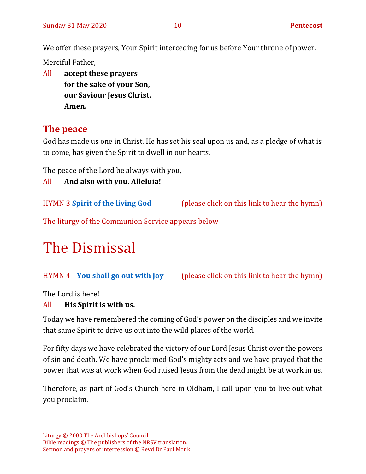We offer these prayers, Your Spirit interceding for us before Your throne of power.

Merciful Father,

All **accept these prayers for the sake of your Son, our Saviour Jesus Christ. Amen.**

# **The peace**

God has made us one in Christ. He has set his seal upon us and, as a pledge of what is to come, has given the Spirit to dwell in our hearts.

The peace of the Lord be always with you,

All **And also with you. Alleluia!**

HYMN 3 **[Spirit of the living God](https://youtu.be/Y2t3TfhoNE8)** (please click on this link to hear the hymn)

The liturgy of the Communion Service appears below

# The Dismissal

HYMN 4 **[You shall go out with joy](https://youtu.be/A_suMalwyN4)** (please click on this link to hear the hymn)

The Lord is here!

#### All **His Spirit is with us.**

Today we have remembered the coming of God's power on the disciples and we invite that same Spirit to drive us out into the wild places of the world.

For fifty days we have celebrated the victory of our Lord Jesus Christ over the powers of sin and death. We have proclaimed God's mighty acts and we have prayed that the power that was at work when God raised Jesus from the dead might be at work in us.

<span id="page-9-0"></span>Therefore, as part of God's Church here in Oldham, I call upon you to live out what you proclaim.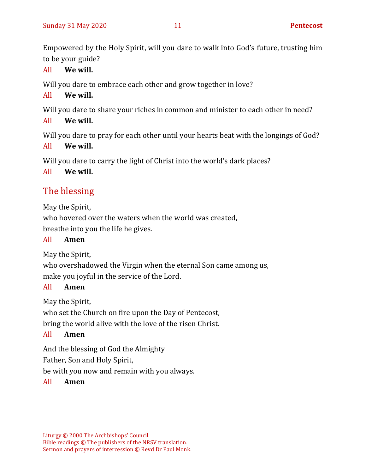<span id="page-10-0"></span>Empowered by the Holy Spirit, will you dare to walk into God's future, trusting him to be your guide?

#### All **We will.**

Will you dare to embrace each other and grow together in love?

#### All **We will.**

Will you dare to share your riches in common and minister to each other in need?

```
All We will.
```
Will you dare to pray for each other until your hearts beat with the longings of God?

#### All **We will.**

Will you dare to carry the light of Christ into the world's dark places?

All **We will.**

# The blessing

May the Spirit,

who hovered over the waters when the world was created,

breathe into you the life he gives.

#### All **Amen**

May the Spirit,

who overshadowed the Virgin when the eternal Son came among us, make you joyful in the service of the Lord.

#### All **Amen**

May the Spirit,

who set the Church on fire upon the Day of Pentecost,

bring the world alive with the love of the risen Christ.

#### All **Amen**

And the blessing of God the Almighty

Father, Son and Holy Spirit,

be with you now and remain with you always.

#### All **Amen**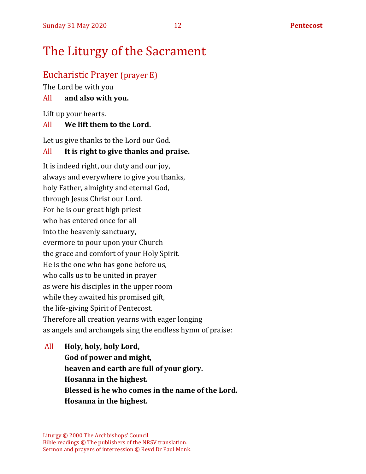# The Liturgy of the Sacrament

#### Eucharistic Prayer (prayer E)

The Lord be with you

#### All **and also with you.**

Lift up your hearts.

#### All **We lift them to the Lord.**

Let us give thanks to the Lord our God.

#### All **It is right to give thanks and praise.**

It is indeed right, our duty and our joy, always and everywhere to give you thanks, holy Father, almighty and eternal God, through Jesus Christ our Lord. For he is our great high priest who has entered once for all into the heavenly sanctuary, evermore to pour upon your Church the grace and comfort of your Holy Spirit. He is the one who has gone before us, who calls us to be united in prayer as were his disciples in the upper room while they awaited his promised gift, the life-giving Spirit of Pentecost. Therefore all creation yearns with eager longing as angels and archangels sing the endless hymn of praise:

All **Holy, holy, holy Lord, God of power and might, heaven and earth are full of your glory. Hosanna in the highest. Blessed is he who comes in the name of the Lord. Hosanna in the highest.**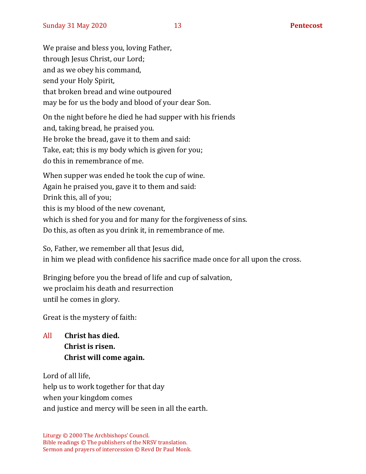We praise and bless you, loving Father, through Jesus Christ, our Lord; and as we obey his command, send your Holy Spirit, that broken bread and wine outpoured may be for us the body and blood of your dear Son.

On the night before he died he had supper with his friends and, taking bread, he praised you. He broke the bread, gave it to them and said: Take, eat; this is my body which is given for you; do this in remembrance of me.

When supper was ended he took the cup of wine. Again he praised you, gave it to them and said: Drink this, all of you; this is my blood of the new covenant, which is shed for you and for many for the forgiveness of sins. Do this, as often as you drink it, in remembrance of me.

So, Father, we remember all that Jesus did, in him we plead with confidence his sacrifice made once for all upon the cross.

Bringing before you the bread of life and cup of salvation, we proclaim his death and resurrection until he comes in glory.

Great is the mystery of faith:

All **Christ has died. Christ is risen. Christ will come again.**

Lord of all life, help us to work together for that day when your kingdom comes and justice and mercy will be seen in all the earth.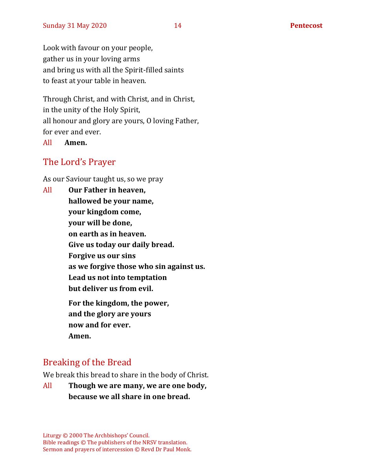Look with favour on your people, gather us in your loving arms and bring us with all the Spirit-filled saints to feast at your table in heaven.

Through Christ, and with Christ, and in Christ, in the unity of the Holy Spirit, all honour and glory are yours, O loving Father, for ever and ever.

#### All **Amen.**

#### The Lord's Prayer

As our Saviour taught us, so we pray

All **Our Father in heaven, hallowed be your name, your kingdom come, your will be done, on earth as in heaven. Give us today our daily bread. Forgive us our sins as we forgive those who sin against us. Lead us not into temptation but deliver us from evil. For the kingdom, the power, and the glory are yours now and for ever. Amen.**

# Breaking of the Bread

We break this bread to share in the body of Christ.

All **Though we are many, we are one body, because we all share in one bread.**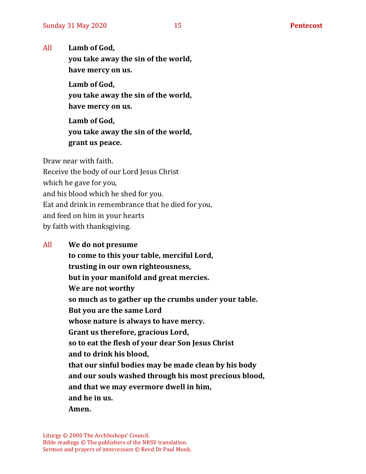All **Lamb of God,**

**you take away the sin of the world, have mercy on us.**

**Lamb of God, you take away the sin of the world, have mercy on us.**

**Lamb of God, you take away the sin of the world, grant us peace.**

Draw near with faith.

Receive the body of our Lord Jesus Christ

which he gave for you,

and his blood which he shed for you.

Eat and drink in remembrance that he died for you,

and feed on him in your hearts

by faith with thanksgiving.

#### All **We do not presume**

**to come to this your table, merciful Lord, trusting in our own righteousness, but in your manifold and great mercies. We are not worthy so much as to gather up the crumbs under your table. But you are the same Lord whose nature is always to have mercy. Grant us therefore, gracious Lord, so to eat the flesh of your dear Son Jesus Christ and to drink his blood, that our sinful bodies may be made clean by his body and our souls washed through his most precious blood, and that we may evermore dwell in him, and he in us. Amen.**